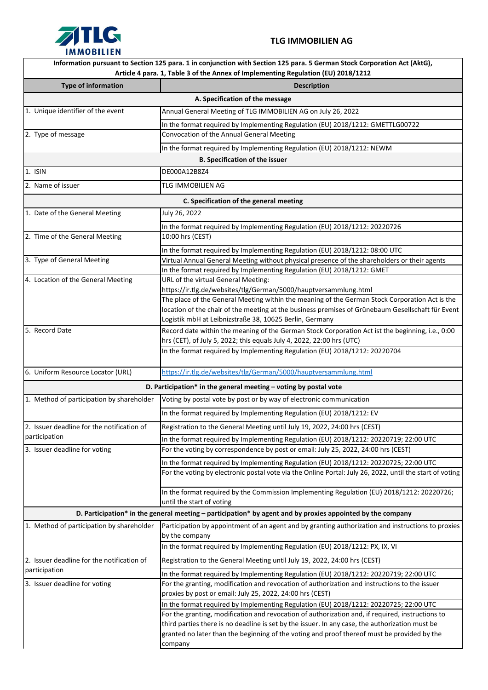

## **TLG IMMOBILIEN AG**

| <b>IMMOBILIEN</b>                          |                                                                                                                                                                                                               |
|--------------------------------------------|---------------------------------------------------------------------------------------------------------------------------------------------------------------------------------------------------------------|
|                                            | Information pursuant to Section 125 para. 1 in conjunction with Section 125 para. 5 German Stock Corporation Act (AktG),<br>Article 4 para. 1, Table 3 of the Annex of Implementing Regulation (EU) 2018/1212 |
| <b>Type of information</b>                 | <b>Description</b>                                                                                                                                                                                            |
|                                            | A. Specification of the message                                                                                                                                                                               |
| 1. Unique identifier of the event          | Annual General Meeting of TLG IMMOBILIEN AG on July 26, 2022                                                                                                                                                  |
|                                            | In the format required by Implementing Regulation (EU) 2018/1212: GMETTLG00722                                                                                                                                |
| 2. Type of message                         | Convocation of the Annual General Meeting                                                                                                                                                                     |
|                                            | In the format required by Implementing Regulation (EU) 2018/1212: NEWM                                                                                                                                        |
|                                            | <b>B. Specification of the issuer</b>                                                                                                                                                                         |
| 1. ISIN                                    | DE000A12B8Z4                                                                                                                                                                                                  |
| 2. Name of issuer                          | TLG IMMOBILIEN AG                                                                                                                                                                                             |
|                                            |                                                                                                                                                                                                               |
|                                            | C. Specification of the general meeting                                                                                                                                                                       |
| 1. Date of the General Meeting             | July 26, 2022                                                                                                                                                                                                 |
|                                            | In the format required by Implementing Regulation (EU) 2018/1212: 20220726                                                                                                                                    |
| 2. Time of the General Meeting             | 10:00 hrs (CEST)                                                                                                                                                                                              |
|                                            | In the format required by Implementing Regulation (EU) 2018/1212: 08:00 UTC                                                                                                                                   |
| 3. Type of General Meeting                 | Virtual Annual General Meeting without physical presence of the shareholders or their agents                                                                                                                  |
| 4. Location of the General Meeting         | In the format required by Implementing Regulation (EU) 2018/1212: GMET<br>URL of the virtual General Meeting:                                                                                                 |
|                                            | https://ir.tlg.de/websites/tlg/German/5000/hauptversammlung.html                                                                                                                                              |
|                                            | The place of the General Meeting within the meaning of the German Stock Corporation Act is the                                                                                                                |
|                                            | location of the chair of the meeting at the business premises of Grünebaum Gesellschaft für Event                                                                                                             |
|                                            | Logistik mbH at Leibnizstraße 38, 10625 Berlin, Germany                                                                                                                                                       |
| 5. Record Date                             | Record date within the meaning of the German Stock Corporation Act ist the beginning, i.e., 0:00                                                                                                              |
|                                            | hrs (CET), of July 5, 2022; this equals July 4, 2022, 22:00 hrs (UTC)                                                                                                                                         |
|                                            | In the format required by Implementing Regulation (EU) 2018/1212: 20220704                                                                                                                                    |
| 6. Uniform Resource Locator (URL)          | https://ir.tlg.de/websites/tlg/German/5000/hauptversammlung.html                                                                                                                                              |
|                                            | D. Participation* in the general meeting $-$ voting by postal vote                                                                                                                                            |
| 1. Method of participation by shareholder  | Voting by postal vote by post or by way of electronic communication                                                                                                                                           |
|                                            | In the format required by Implementing Regulation (EU) 2018/1212: EV                                                                                                                                          |
| 2. Issuer deadline for the notification of | Registration to the General Meeting until July 19, 2022, 24:00 hrs (CEST)                                                                                                                                     |
| participation                              | In the format required by Implementing Regulation (EU) 2018/1212: 20220719; 22:00 UTC                                                                                                                         |
| 3. Issuer deadline for voting              | For the voting by correspondence by post or email: July 25, 2022, 24:00 hrs (CEST)                                                                                                                            |
|                                            | In the format required by Implementing Regulation (EU) 2018/1212: 20220725; 22:00 UTC                                                                                                                         |
|                                            | For the voting by electronic postal vote via the Online Portal: July 26, 2022, until the start of voting                                                                                                      |
|                                            |                                                                                                                                                                                                               |
|                                            | In the format required by the Commission Implementing Regulation (EU) 2018/1212: 20220726;                                                                                                                    |
|                                            | until the start of voting                                                                                                                                                                                     |
|                                            | D. Participation* in the general meeting - participation* by agent and by proxies appointed by the company                                                                                                    |
| 1. Method of participation by shareholder  | Participation by appointment of an agent and by granting authorization and instructions to proxies<br>by the company                                                                                          |
|                                            | In the format required by Implementing Regulation (EU) 2018/1212: PX, IX, VI                                                                                                                                  |
| 2. Issuer deadline for the notification of | Registration to the General Meeting until July 19, 2022, 24:00 hrs (CEST)                                                                                                                                     |
| participation                              | In the format required by Implementing Regulation (EU) 2018/1212: 20220719; 22:00 UTC                                                                                                                         |
| 3. Issuer deadline for voting              | For the granting, modification and revocation of authorization and instructions to the issuer                                                                                                                 |
|                                            | proxies by post or email: July 25, 2022, 24:00 hrs (CEST)                                                                                                                                                     |
|                                            | In the format required by Implementing Regulation (EU) 2018/1212: 20220725; 22:00 UTC                                                                                                                         |
|                                            | For the granting, modification and revocation of authorization and, if required, instructions to                                                                                                              |
|                                            | third parties there is no deadline is set by the issuer. In any case, the authorization must be                                                                                                               |
|                                            | granted no later than the beginning of the voting and proof thereof must be provided by the<br>company                                                                                                        |
|                                            |                                                                                                                                                                                                               |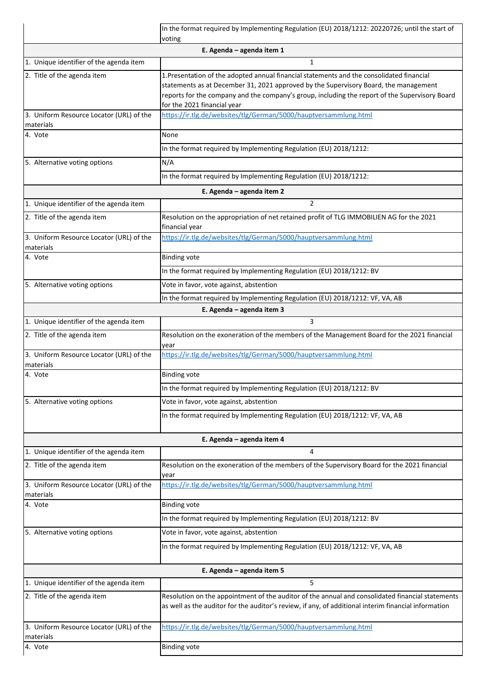|                                                       | In the format required by Implementing Regulation (EU) 2018/1212: 20220726; until the start of<br>voting                                                                                                                                                                                                           |
|-------------------------------------------------------|--------------------------------------------------------------------------------------------------------------------------------------------------------------------------------------------------------------------------------------------------------------------------------------------------------------------|
|                                                       | E. Agenda - agenda item 1                                                                                                                                                                                                                                                                                          |
| 1. Unique identifier of the agenda item               | $\mathbf{1}$                                                                                                                                                                                                                                                                                                       |
| 2. Title of the agenda item                           | 1. Presentation of the adopted annual financial statements and the consolidated financial<br>statements as at December 31, 2021 approved by the Supervisory Board, the management<br>reports for the company and the company's group, including the report of the Supervisory Board<br>for the 2021 financial year |
| 3. Uniform Resource Locator (URL) of the<br>materials | https://ir.tlg.de/websites/tlg/German/5000/hauptversammlung.html                                                                                                                                                                                                                                                   |
| 4. Vote                                               | None                                                                                                                                                                                                                                                                                                               |
|                                                       | In the format required by Implementing Regulation (EU) 2018/1212:                                                                                                                                                                                                                                                  |
| 5. Alternative voting options                         | N/A                                                                                                                                                                                                                                                                                                                |
|                                                       | In the format required by Implementing Regulation (EU) 2018/1212:                                                                                                                                                                                                                                                  |
|                                                       | E. Agenda - agenda item 2                                                                                                                                                                                                                                                                                          |
| 1. Unique identifier of the agenda item               | $\overline{2}$                                                                                                                                                                                                                                                                                                     |
| 2. Title of the agenda item                           | Resolution on the appropriation of net retained profit of TLG IMMOBILIEN AG for the 2021<br>financial year                                                                                                                                                                                                         |
| 3. Uniform Resource Locator (URL) of the<br>materials | https://ir.tlg.de/websites/tlg/German/5000/hauptversammlung.html                                                                                                                                                                                                                                                   |
| 4. Vote                                               | <b>Binding vote</b>                                                                                                                                                                                                                                                                                                |
|                                                       | In the format required by Implementing Regulation (EU) 2018/1212: BV                                                                                                                                                                                                                                               |
| 5. Alternative voting options                         | Vote in favor, vote against, abstention                                                                                                                                                                                                                                                                            |
|                                                       | In the format required by Implementing Regulation (EU) 2018/1212: VF, VA, AB                                                                                                                                                                                                                                       |
|                                                       | E. Agenda - agenda item 3                                                                                                                                                                                                                                                                                          |
| 1. Unique identifier of the agenda item               | 3                                                                                                                                                                                                                                                                                                                  |
| 2. Title of the agenda item                           | Resolution on the exoneration of the members of the Management Board for the 2021 financial<br>year                                                                                                                                                                                                                |
| 3. Uniform Resource Locator (URL) of the<br>materials | https://ir.tlg.de/websites/tlg/German/5000/hauptversammlung.html                                                                                                                                                                                                                                                   |
| 4. Vote                                               | <b>Binding vote</b>                                                                                                                                                                                                                                                                                                |
|                                                       | In the format required by Implementing Regulation (EU) 2018/1212: BV                                                                                                                                                                                                                                               |
| 5. Alternative voting options                         | Vote in favor, vote against, abstention                                                                                                                                                                                                                                                                            |
|                                                       | In the format required by Implementing Regulation (EU) 2018/1212: VF, VA, AB                                                                                                                                                                                                                                       |
|                                                       | E. Agenda - agenda item 4                                                                                                                                                                                                                                                                                          |
| 1. Unique identifier of the agenda item               | 4                                                                                                                                                                                                                                                                                                                  |
| 2. Title of the agenda item                           | Resolution on the exoneration of the members of the Supervisory Board for the 2021 financial<br>year                                                                                                                                                                                                               |
| 3. Uniform Resource Locator (URL) of the<br>materials | https://ir.tlg.de/websites/tlg/German/5000/hauptversammlung.html                                                                                                                                                                                                                                                   |
| 4. Vote                                               | <b>Binding vote</b>                                                                                                                                                                                                                                                                                                |
|                                                       | In the format required by Implementing Regulation (EU) 2018/1212: BV                                                                                                                                                                                                                                               |
| 5. Alternative voting options                         | Vote in favor, vote against, abstention                                                                                                                                                                                                                                                                            |
|                                                       | In the format required by Implementing Regulation (EU) 2018/1212: VF, VA, AB                                                                                                                                                                                                                                       |
|                                                       | E. Agenda - agenda item 5                                                                                                                                                                                                                                                                                          |
| 1. Unique identifier of the agenda item               | 5                                                                                                                                                                                                                                                                                                                  |
| 2. Title of the agenda item                           | Resolution on the appointment of the auditor of the annual and consolidated financial statements<br>as well as the auditor for the auditor's review, if any, of additional interim financial information                                                                                                           |
| 3. Uniform Resource Locator (URL) of the<br>materials | https://ir.tlg.de/websites/tlg/German/5000/hauptversammlung.html                                                                                                                                                                                                                                                   |
| 4. Vote                                               | <b>Binding vote</b>                                                                                                                                                                                                                                                                                                |